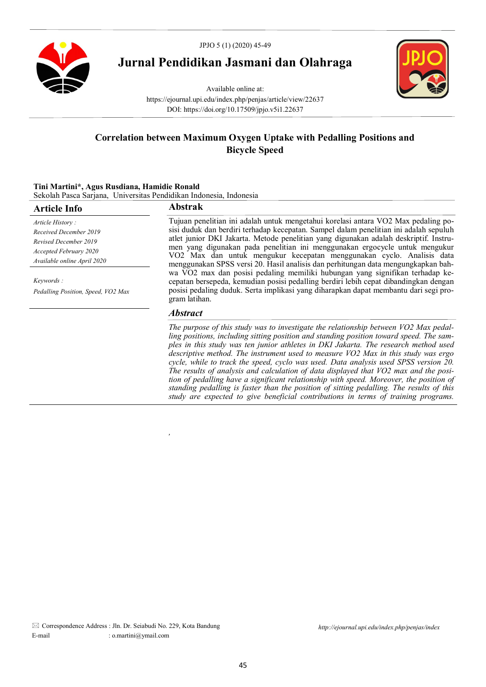

# **Jurnal Pendidikan Jasmani dan Olahraga**



Available online at: https://ejournal.upi.edu/index.php/penjas/article/view/22637 DOI: https://doi.org/10.17509/jpjo.v5i1.22637

## **Correlation between Maximum Oxygen Uptake with Pedalling Positions and Bicycle Speed**

### **Tini Martini\*, Agus Rusdiana, Hamidie Ronald** Sekolah Pasca Sarjana, Universitas Pendidikan Indonesia, Indonesia

*,* 

| <b>Article Info</b>                | <b>Abstrak</b>                                                                                                                                                                                                                                                                                                                                                                                                              |  |  |
|------------------------------------|-----------------------------------------------------------------------------------------------------------------------------------------------------------------------------------------------------------------------------------------------------------------------------------------------------------------------------------------------------------------------------------------------------------------------------|--|--|
| Article History:                   | Tujuan penelitian ini adalah untuk mengetahui korelasi antara VO2 Max pedaling po-                                                                                                                                                                                                                                                                                                                                          |  |  |
| Received December 2019             | sisi duduk dan berdiri terhadap kecepatan. Sampel dalam penelitian ini adalah sepuluh<br>atlet junior DKI Jakarta. Metode penelitian yang digunakan adalah deskriptif. Instru-<br>men yang digunakan pada penelitian ini menggunakan ergocycle untuk mengukur<br>VO2 Max dan untuk mengukur kecepatan menggunakan cyclo. Analisis data<br>menggunakan SPSS versi 20. Hasil analisis dan perhitungan data mengungkapkan bah- |  |  |
| Revised December 2019              |                                                                                                                                                                                                                                                                                                                                                                                                                             |  |  |
| Accepted February 2020             |                                                                                                                                                                                                                                                                                                                                                                                                                             |  |  |
| Available online April 2020        |                                                                                                                                                                                                                                                                                                                                                                                                                             |  |  |
| Keywords:                          | wa VO2 max dan posisi pedaling memiliki hubungan yang signifikan terhadap ke-<br>cepatan bersepeda, kemudian posisi pedalling berdiri lebih cepat dibandingkan dengan                                                                                                                                                                                                                                                       |  |  |
| Pedalling Position, Speed, VO2 Max | posisi pedaling duduk. Serta implikasi yang diharapkan dapat membantu dari segi pro-<br>gram latihan.                                                                                                                                                                                                                                                                                                                       |  |  |
|                                    | <i><b>Abstract</b></i>                                                                                                                                                                                                                                                                                                                                                                                                      |  |  |
|                                    | The purpose of this study was to investigate the relationship between VO2 Max pedal-<br>ling positions, including sitting position and standing position toward speed. The sam-                                                                                                                                                                                                                                             |  |  |

*ples in this study was ten junior athletes in DKI Jakarta. The research method used descriptive method. The instrument used to measure VO2 Max in this study was ergo cycle, while to track the speed, cyclo was used. Data analysis used SPSS version 20. The results of analysis and calculation of data displayed that VO2 max and the position of pedalling have a significant relationship with speed. Moreover, the position of standing pedalling is faster than the position of sitting pedalling. The results of this study are expected to give beneficial contributions in terms of training programs.*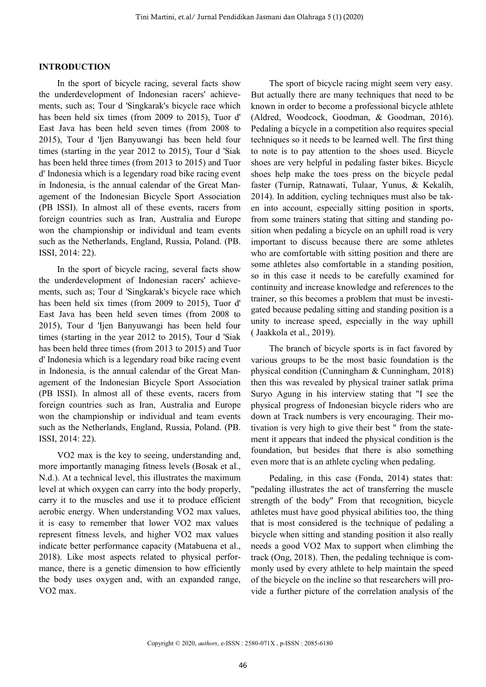### **INTRODUCTION**

In the sport of bicycle racing, several facts show the underdevelopment of Indonesian racers' achievements, such as; Tour d 'Singkarak's bicycle race which has been held six times (from 2009 to 2015), Tuor d' East Java has been held seven times (from 2008 to 2015), Tour d 'Ijen Banyuwangi has been held four times (starting in the year 2012 to 2015), Tour d 'Siak has been held three times (from 2013 to 2015) and Tuor d' Indonesia which is a legendary road bike racing event in Indonesia, is the annual calendar of the Great Management of the Indonesian Bicycle Sport Association (PB ISSI). In almost all of these events, racers from foreign countries such as Iran, Australia and Europe won the championship or individual and team events such as the Netherlands, England, Russia, Poland. (PB. ISSI, 2014: 22).

In the sport of bicycle racing, several facts show the underdevelopment of Indonesian racers' achievements, such as; Tour d 'Singkarak's bicycle race which has been held six times (from 2009 to 2015), Tuor d' East Java has been held seven times (from 2008 to 2015), Tour d 'Ijen Banyuwangi has been held four times (starting in the year 2012 to 2015), Tour d 'Siak has been held three times (from 2013 to 2015) and Tuor d' Indonesia which is a legendary road bike racing event in Indonesia, is the annual calendar of the Great Management of the Indonesian Bicycle Sport Association (PB ISSI). In almost all of these events, racers from foreign countries such as Iran, Australia and Europe won the championship or individual and team events such as the Netherlands, England, Russia, Poland. (PB. ISSI, 2014: 22).

VO2 max is the key to seeing, understanding and, more importantly managing fitness levels (Bosak et al., N.d.). At a technical level, this illustrates the maximum level at which oxygen can carry into the body properly, carry it to the muscles and use it to produce efficient aerobic energy. When understanding VO2 max values, it is easy to remember that lower VO2 max values represent fitness levels, and higher VO2 max values indicate better performance capacity (Matabuena et al., 2018). Like most aspects related to physical performance, there is a genetic dimension to how efficiently the body uses oxygen and, with an expanded range, VO2 max.

The sport of bicycle racing might seem very easy. But actually there are many techniques that need to be known in order to become a professional bicycle athlete (Aldred, Woodcock, Goodman, & Goodman, 2016). Pedaling a bicycle in a competition also requires special techniques so it needs to be learned well. The first thing to note is to pay attention to the shoes used. Bicycle shoes are very helpful in pedaling faster bikes. Bicycle shoes help make the toes press on the bicycle pedal faster (Turnip, Ratnawati, Tulaar, Yunus, & Kekalih, 2014). In addition, cycling techniques must also be taken into account, especially sitting position in sports, from some trainers stating that sitting and standing position when pedaling a bicycle on an uphill road is very important to discuss because there are some athletes who are comfortable with sitting position and there are some athletes also comfortable in a standing position, so in this case it needs to be carefully examined for continuity and increase knowledge and references to the trainer, so this becomes a problem that must be investigated because pedaling sitting and standing position is a unity to increase speed, especially in the way uphill ( Jaakkola et al., 2019).

The branch of bicycle sports is in fact favored by various groups to be the most basic foundation is the physical condition (Cunningham & Cunningham, 2018) then this was revealed by physical trainer satlak prima Suryo Agung in his interview stating that "I see the physical progress of Indonesian bicycle riders who are down at Track numbers is very encouraging. Their motivation is very high to give their best " from the statement it appears that indeed the physical condition is the foundation, but besides that there is also something even more that is an athlete cycling when pedaling.

Pedaling, in this case (Fonda, 2014) states that: "pedaling illustrates the act of transferring the muscle strength of the body" From that recognition, bicycle athletes must have good physical abilities too, the thing that is most considered is the technique of pedaling a bicycle when sitting and standing position it also really needs a good VO2 Max to support when climbing the track (Ong, 2018). Then, the pedaling technique is commonly used by every athlete to help maintain the speed of the bicycle on the incline so that researchers will provide a further picture of the correlation analysis of the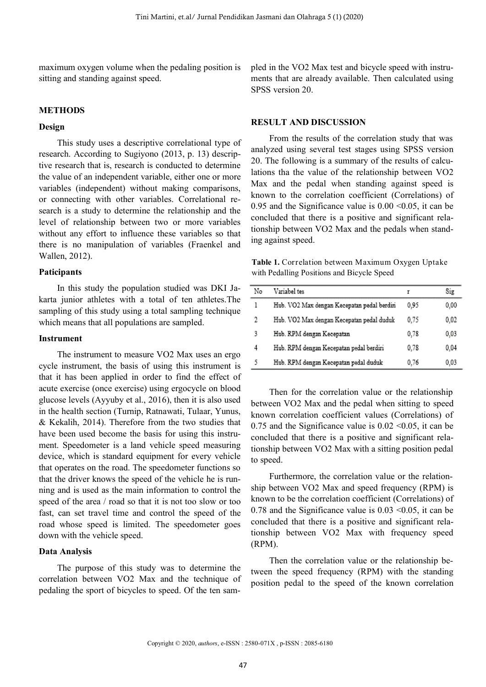maximum oxygen volume when the pedaling position is sitting and standing against speed.

#### **METHODS**

#### **Design**

This study uses a descriptive correlational type of research. According to Sugiyono (2013, p. 13) descriptive research that is, research is conducted to determine the value of an independent variable, either one or more variables (independent) without making comparisons, or connecting with other variables. Correlational research is a study to determine the relationship and the level of relationship between two or more variables without any effort to influence these variables so that there is no manipulation of variables (Fraenkel and Wallen, 2012).

#### **Paticipants**

In this study the population studied was DKI Jakarta junior athletes with a total of ten athletes.The sampling of this study using a total sampling technique which means that all populations are sampled.

#### **Instrument**

The instrument to measure VO2 Max uses an ergo cycle instrument, the basis of using this instrument is that it has been applied in order to find the effect of acute exercise (once exercise) using ergocycle on blood glucose levels (Ayyuby et al., 2016), then it is also used in the health section (Turnip, Ratnawati, Tulaar, Yunus, & Kekalih, 2014). Therefore from the two studies that have been used become the basis for using this instrument. Speedometer is a land vehicle speed measuring device, which is standard equipment for every vehicle that operates on the road. The speedometer functions so that the driver knows the speed of the vehicle he is running and is used as the main information to control the speed of the area / road so that it is not too slow or too fast, can set travel time and control the speed of the road whose speed is limited. The speedometer goes down with the vehicle speed.

### **Data Analysis**

The purpose of this study was to determine the correlation between VO2 Max and the technique of pedaling the sport of bicycles to speed. Of the ten sampled in the VO2 Max test and bicycle speed with instruments that are already available. Then calculated using SPSS version 20.

#### **RESULT AND DISCUSSION**

From the results of the correlation study that was analyzed using several test stages using SPSS version 20. The following is a summary of the results of calculations tha the value of the relationship between VO2 Max and the pedal when standing against speed is known to the correlation coefficient (Correlations) of 0.95 and the Significance value is  $0.00 \le 0.05$ , it can be concluded that there is a positive and significant relationship between VO2 Max and the pedals when standing against speed.

**Table 1.** Correlation between Maximum Oxygen Uptake with Pedalling Positions and Bicycle Speed

| No | Variabel tes                                | r    | Sig  |
|----|---------------------------------------------|------|------|
| l  | Hub. VO2 Max dengan Kecepatan pedal berdiri | 0.95 | 0,00 |
| 2  | Hub. VO2 Max dengan Kecepatan pedal duduk   | 0.75 | 0,02 |
| 3  | Hub. RPM dengan Kecepatan                   | 0.78 | 0.03 |
| 4  | Hub. RPM dengan Kecepatan pedal berdiri     | 0.78 | 0,04 |
| 5  | Hub. RPM dengan Kecepatan pedal duduk       | 0.76 | 0.03 |

Then for the correlation value or the relationship between VO2 Max and the pedal when sitting to speed known correlation coefficient values (Correlations) of 0.75 and the Significance value is  $0.02 \le 0.05$ , it can be concluded that there is a positive and significant relationship between VO2 Max with a sitting position pedal to speed.

Furthermore, the correlation value or the relationship between VO2 Max and speed frequency (RPM) is known to be the correlation coefficient (Correlations) of 0.78 and the Significance value is  $0.03 \le 0.05$ , it can be concluded that there is a positive and significant relationship between VO2 Max with frequency speed (RPM).

Then the correlation value or the relationship between the speed frequency (RPM) with the standing position pedal to the speed of the known correlation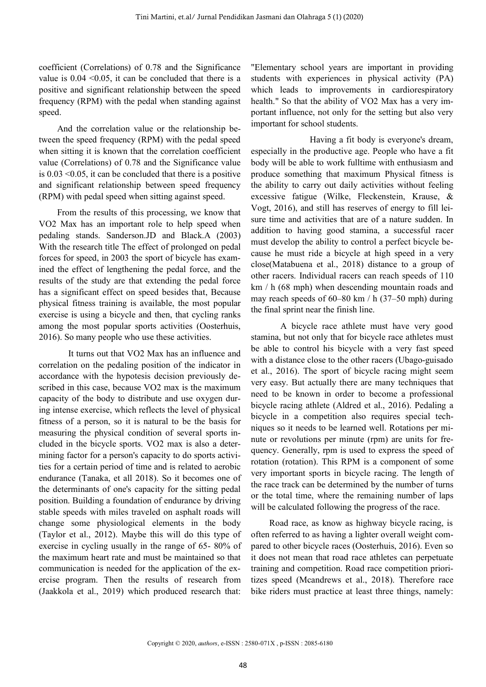coefficient (Correlations) of 0.78 and the Significance value is  $0.04 \leq 0.05$ , it can be concluded that there is a positive and significant relationship between the speed frequency (RPM) with the pedal when standing against speed.

And the correlation value or the relationship between the speed frequency (RPM) with the pedal speed when sitting it is known that the correlation coefficient value (Correlations) of 0.78 and the Significance value is 0.03 <0.05, it can be concluded that there is a positive and significant relationship between speed frequency (RPM) with pedal speed when sitting against speed.

From the results of this processing, we know that VO2 Max has an important role to help speed when pedaling stands. Sanderson.JD and Black.A (2003) With the research title The effect of prolonged on pedal forces for speed, in 2003 the sport of bicycle has examined the effect of lengthening the pedal force, and the results of the study are that extending the pedal force has a significant effect on speed besides that, Because physical fitness training is available, the most popular exercise is using a bicycle and then, that cycling ranks among the most popular sports activities (Oosterhuis, 2016). So many people who use these activities.

It turns out that VO2 Max has an influence and correlation on the pedaling position of the indicator in accordance with the hypotesis decision previously described in this case, because VO2 max is the maximum capacity of the body to distribute and use oxygen during intense exercise, which reflects the level of physical fitness of a person, so it is natural to be the basis for measuring the physical condition of several sports included in the bicycle sports. VO2 max is also a determining factor for a person's capacity to do sports activities for a certain period of time and is related to aerobic endurance (Tanaka, et all 2018). So it becomes one of the determinants of one's capacity for the sitting pedal position. Building a foundation of endurance by driving stable speeds with miles traveled on asphalt roads will change some physiological elements in the body (Taylor et al., 2012). Maybe this will do this type of exercise in cycling usually in the range of 65- 80% of the maximum heart rate and must be maintained so that communication is needed for the application of the exercise program. Then the results of research from (Jaakkola et al., 2019) which produced research that:

"Elementary school years are important in providing students with experiences in physical activity (PA) which leads to improvements in cardiorespiratory health." So that the ability of VO2 Max has a very important influence, not only for the setting but also very important for school students.

Having a fit body is everyone's dream, especially in the productive age. People who have a fit body will be able to work fulltime with enthusiasm and produce something that maximum Physical fitness is the ability to carry out daily activities without feeling excessive fatigue (Wilke, Fleckenstein, Krause, & Vogt, 2016), and still has reserves of energy to fill leisure time and activities that are of a nature sudden. In addition to having good stamina, a successful racer must develop the ability to control a perfect bicycle because he must ride a bicycle at high speed in a very close(Matabuena et al., 2018) distance to a group of other racers. Individual racers can reach speeds of 110 km / h (68 mph) when descending mountain roads and may reach speeds of 60–80 km / h (37–50 mph) during the final sprint near the finish line.

A bicycle race athlete must have very good stamina, but not only that for bicycle race athletes must be able to control his bicycle with a very fast speed with a distance close to the other racers (Ubago-guisado et al., 2016). The sport of bicycle racing might seem very easy. But actually there are many techniques that need to be known in order to become a professional bicycle racing athlete (Aldred et al., 2016). Pedaling a bicycle in a competition also requires special techniques so it needs to be learned well. Rotations per minute or revolutions per minute (rpm) are units for frequency. Generally, rpm is used to express the speed of rotation (rotation). This RPM is a component of some very important sports in bicycle racing. The length of the race track can be determined by the number of turns or the total time, where the remaining number of laps will be calculated following the progress of the race.

Road race, as know as highway bicycle racing, is often referred to as having a lighter overall weight compared to other bicycle races (Oosterhuis, 2016). Even so it does not mean that road race athletes can perpetuate training and competition. Road race competition prioritizes speed (Mcandrews et al., 2018). Therefore race bike riders must practice at least three things, namely: